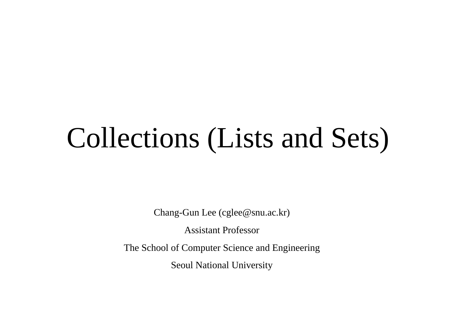# Collections (Lists and Sets)

Chang-Gun Lee (cglee@snu.ac.kr)

Assistant Professor

The School of Computer Science and Engineering

Seoul National University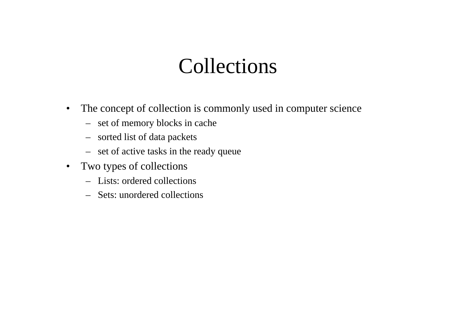#### Collections

- • The concept of collection is commonly used in computer science
	- set of memory blocks in cache
	- sorted list of data packets
	- set of active tasks in the ready queue
- Two types of collections
	- Lists: ordered collections
	- Sets: unordered collections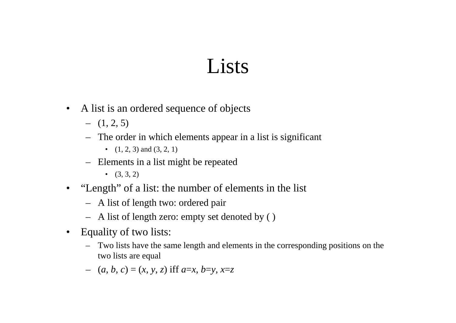#### Lists

- A list is an ordered sequence of objects
	- $(1, 2, 5)$
	- The order in which elements appear in a list is significant
		- $(1, 2, 3)$  and  $(3, 2, 1)$
	- Elements in a list might be repeated
		- $(3, 3, 2)$
- "Length" of a list: the number of elements in the list
	- A list of length two: ordered pair
	- A list of length zero: empty set denoted by ( )
- Equality of two lists:
	- Two lists have the same length and elements in the corresponding positions on the two lists are equal
	- (*<sup>a</sup>*, *b*, *<sup>c</sup>*) <sup>=</sup> (*<sup>x</sup>*, *y*, *<sup>z</sup>*) iff *<sup>a</sup>*=*x*, *b*=*y*, *x*=*<sup>z</sup>*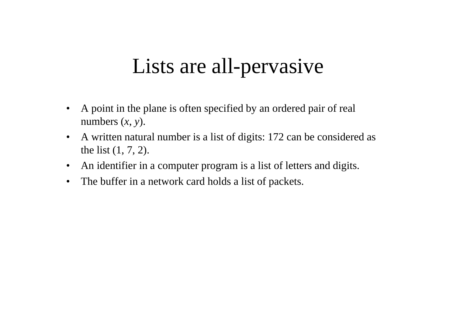### Lists are all-pervasive

- • A point in the plane is often specified by an ordered pair of real numbers  $(x, y)$ .
- $\bullet$  A written natural number is a list of digits: 172 can be considered as the list (1, 7, 2).
- $\bullet$ An identifier in a computer program is a list of letters and digits.
- $\bullet$ The buffer in a network card holds a list of packets.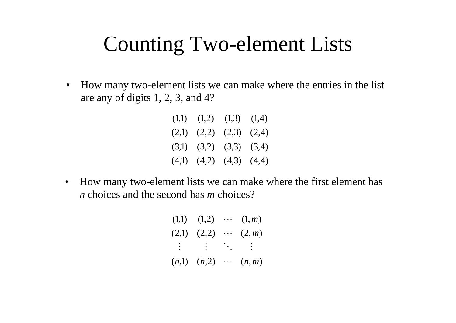#### Counting Two-element Lists

 $\bullet$ How many two-element lists we can make where the entries in the list are any of digits 1, 2, 3, and 4?

| $(1,1)$ $(1,2)$ $(1,3)$ $(1,4)$ |  |
|---------------------------------|--|
| $(2,1)$ $(2,2)$ $(2,3)$ $(2,4)$ |  |
| $(3,1)$ $(3,2)$ $(3,3)$ $(3,4)$ |  |
| $(4,1)$ $(4,2)$ $(4,3)$ $(4,4)$ |  |

(4,1) (4,2) (4,3) (4,4)<br>• How many two-element lists we can make y How many two-element lists we can make where the first element has *n* choices and the second has *<sup>m</sup>* choices?

> $(2,1)$   $(2,2)$   $\cdots$   $(2,m)$  $(1,1)$   $(1,2)$   $\cdots$   $(1,m)$  $(n,1)$   $(n,2)$   $\cdots$   $(n,m)$ : M O M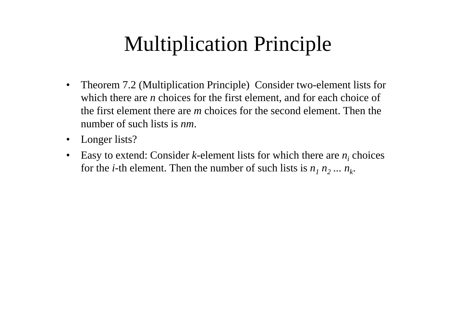# **Multiplication Principle**

- $\bullet$ Theorem 7.2 (Multiplication Principle) Consider two-element lists for which there are *n* choices for the first element, and for each choice of the first element there are *m* choices for the second element. Then the number of such lists is *nm*.
- Longer lists?
- •Easy to extend: Consider  $k$ -element lists for which there are  $n_i$  choices for the *i*-th element. Then the number of such lists is  $n_1 n_2 ... n_k$ .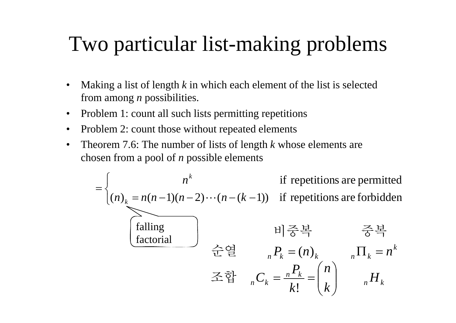# Two particular list-making problems

- $\bullet$ Making a list of length  $k$  in which each element of the list is selected from among *<sup>n</sup>* possibilities.
- $\bullet$ Problem 1: count all such lists permitting repetitions
- •Problem 2: count those without repeated elements
- • Theorem 7.6: The number of lists of length *k* whose elements are chosen from a pool of *n* possible elements

$$
= \begin{cases} n^{k} & \text{if repetitions are permitted} \\ (n)_{k} = n(n-1)(n-2)\cdots(n-(k-1)) & \text{if repetitions are forbidden} \\ \hline \text{falling} & \text{H} \geq \frac{1}{2} \\ \text{factorial} & \text{if } \frac{1}{2} \geq \frac{1}{2} \\ \text{if } \frac{1}{2} \geq \frac{1}{2} \end{cases} \Rightarrow \frac{1}{2} \geq \frac{1}{2} \Rightarrow n^{2} = \frac{1}{2} \Rightarrow n^{2} = \frac{1}{2} \Rightarrow n^{2} = \frac{1}{2} \Rightarrow n^{2} = \frac{1}{2} \Rightarrow n^{2} = \frac{1}{2} \Rightarrow n^{2} = \frac{1}{2} \Rightarrow n^{2} = \frac{1}{2} \Rightarrow n^{2} = \frac{1}{2} \Rightarrow n^{2} = \frac{1}{2} \Rightarrow n^{2} = \frac{1}{2} \Rightarrow n^{2} = \frac{1}{2} \Rightarrow n^{2} = \frac{1}{2} \Rightarrow n^{2} = \frac{1}{2} \Rightarrow n^{2} = \frac{1}{2} \Rightarrow n^{2} = \frac{1}{2} \Rightarrow n^{2} = \frac{1}{2} \Rightarrow n^{2} = \frac{1}{2} \Rightarrow n^{2} = \frac{1}{2} \Rightarrow n^{2} = \frac{1}{2} \Rightarrow n^{2} = \frac{1}{2} \Rightarrow n^{2} = \frac{1}{2} \Rightarrow n^{2} = \frac{1}{2} \Rightarrow n^{2} = \frac{1}{2} \Rightarrow n^{2} = \frac{1}{2} \Rightarrow n^{2} = \frac{1}{2} \Rightarrow n^{2} = \frac{1}{2} \Rightarrow n^{2} = \frac{1}{2} \Rightarrow n^{2} = \frac{1}{2} \Rightarrow n^{2} = \frac{1}{2} \Rightarrow n^{2} = \frac{1}{2} \Rightarrow n^{2} = \frac{1}{2} \Rightarrow n^{2} = \frac{1}{2} \Rightarrow n^{2} = \frac{1}{2} \Rightarrow n^{2} = \frac{1}{2} \Rightarrow n^{2} = \frac{1}{2} \Rightarrow n^{2} = \frac{1}{2} \Rightarrow n^{2} = \frac{1}{2} \Rightarrow n^{2} = \frac{1}{2} \Rightarrow n^{2} = \frac{1}{2} \Rightarrow n^{2} = \frac{1}{2} \Rightarrow n^{2} = \frac{1}{2} \Rightarrow n^{2} = \frac{1}{2} \Rightarrow n^{2} = \frac{1}{2} \
$$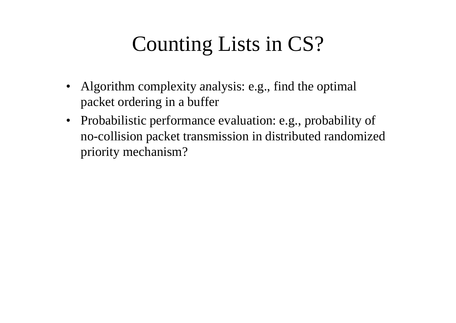# Counting Lists in CS?

- Algorithm complexity analysis: e.g., find the optimal packet ordering in a buffer
- Probabilistic performance evaluation: e.g., probability of no-collision packet transmission in distributed randomized priority mechanism?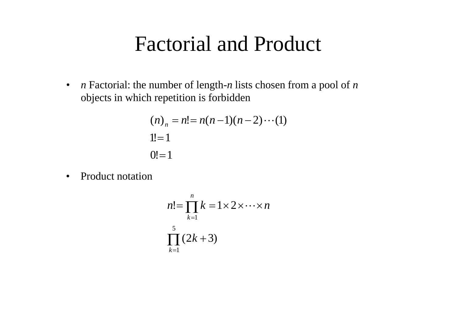#### Factorial and Produc t

• *n* Factorial: the number of length - *n* lists chosen from <sup>a</sup> pool of *n* objects in which repetition is forbidden

$$
(n)_n = n! = n(n-1)(n-2)\cdots(1)
$$
  
1! = 1  
0! = 1

•Product notation

$$
n! = \prod_{k=1}^{n} k = 1 \times 2 \times \cdots \times n
$$
  

$$
\prod_{k=1}^{5} (2k+3)
$$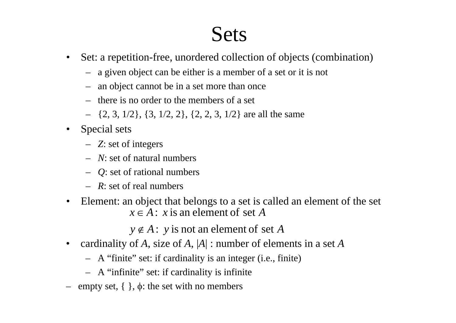#### Sets

- • Set: a repetition-free, unordered collection of objects (combination)
	- a given object can be either is a member of a set or it is not
	- an object cannot be in <sup>a</sup> set more than once
	- there is no order to the members of a set
	- {2, 3, 1/2}, {3, 1/2, 2}, {2, 2, 3, 1/2} are all the same
- Special sets
	- *Z*: set of integers
	- *N*: set of natural numbers
	- *Q*: set of rational numbers
	- *R*: set of real numbers
- Element: an object that belongs to a set is called an element of the set  $x \in A$ : *x* is an element of set A

 $y \notin A$ : *y* is not an element of set *A* 

- • cardinality of *A*, size of *A*, |*A*| : number of elements in a set *A*
	- A "finite" set: if cardinality is an integer (i.e., finite)
	- A "infinite" set: if cardinality is infinite
- empty set, { }, φ: the set with no members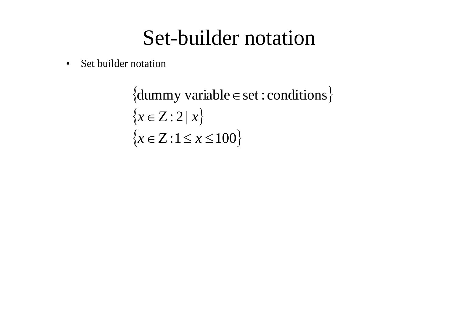#### Set-builder notation

•Set builder notation

> $\{dummy variable \in set : conditions\}$  $\{x \in \mathbb{Z} : 2 | x\}$  $\{x \in \mathbb{Z} : 1 \leq x \leq 100\}$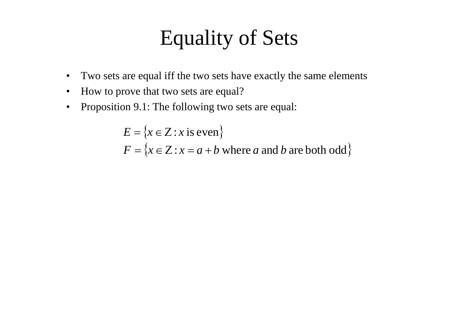### Equality of Sets

- •Two sets are equal iff the two sets have exactly the same elements
- $\bullet$ • How to prove that two sets are equal?
- $\bullet$ Proposition 9.1: The following two sets are equal:

 $E = \{x \in \mathbb{Z} : x \text{ is even}\}\$  $F = \{x \in \mathbb{Z} : x = a + b \text{ where } a \text{ and } b \text{ are both odd}\}\$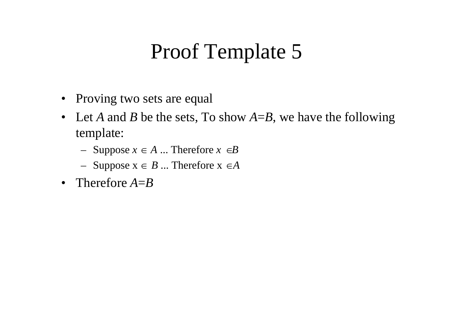#### Proof Template 5

- Proving two sets are equal
- Let A and B be the sets, To show  $A = B$ , we have the following template:
	- Suppose  $x \in A$  ... Therefore  $x \in B$
	- $-$  Suppose  $x \in B$  ... Theref Suppose  $x \in B$  ... Therefore  $x \in A$
- Therefore *A*=*B*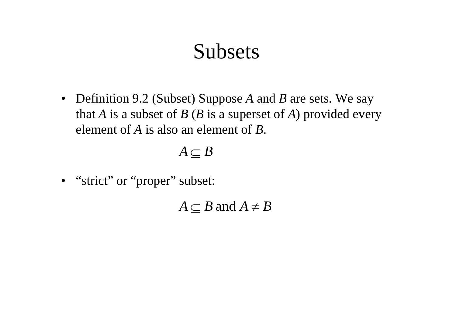#### Subsets

• Definition 9.2 (Subset) Suppose *A* and *B* are sets. We say that *A* is a subset of *B* (*B* is a superset of *A*) provided every element of *A* is also an element of *B*.

 $A \subseteq B$ 

• "strict" or "proper" subset:

 $A \subseteq B$  and  $A \neq B$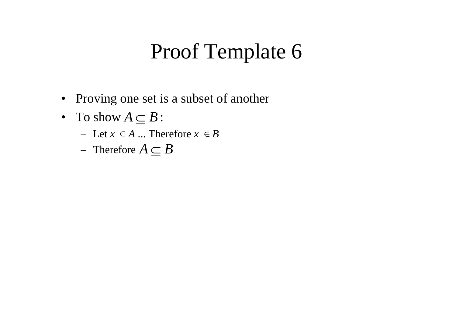#### Proof Template 6

- Proving one set is a subset of another
- To show  $A \subseteq B$  :
	- $-$  Let  $x \in A$  ... Therefore  $x \in B$
	- Therefore  $A \subseteq B$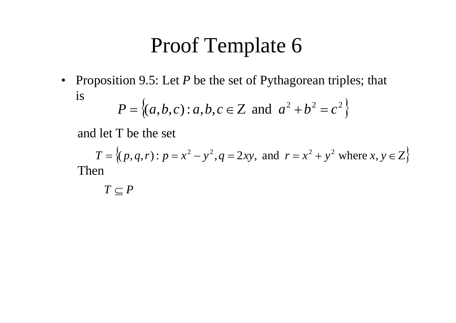#### Proof Template 6

• Proposition 9.5: Let P be the set of Pythagorean triples; that is  $\epsilon$  $\Delta$ 222

$$
P = \{(a, b, c) : a, b, c \in \mathbb{Z} \text{ and } a^2 + b^2 = c^2\}
$$

and let T be the set

 $T = \{(p, q, r) : p = x^2 - y^2, q = 2xy, \text{ and } r = x^2 + y^2 \text{ where } x, y \in Z\}$ <br>
2n<br>  $T \subset P$ Then

 $T \subseteq P$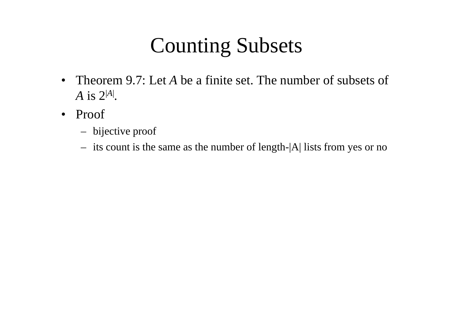# Counting Subsets

- Theorem 9.7: Let A be a finite set. The number of subsets of  $A$  is  $2^{|A|}$ .
- Proof
	- bijective proof
	- its count is the same as the number of length-|A| lists from yes or no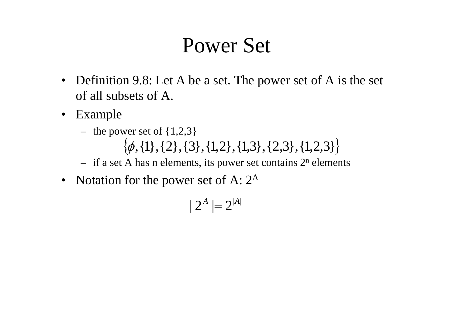#### Power Set

- $\bullet$  Definition 9.8: Let A be a set. The power set of A is the set of all subsets of A.
- Example
	- the power set of  $\{1,2,3\}$

 $\{\phi, \{1\}, \{2\}, \{3\}, \{1,2\}, \{1,3\}, \{2,3\}, \{1,2,3\}\}\$ 

- if a set A has n elements, its power set contains  $2^n$  elements  $-$  if a set A has n elements, its power set contain
- Notation for the power set of A:  $2^A$

$$
|2^A| = 2^{|A|}
$$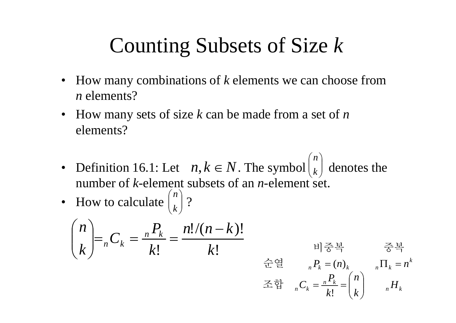# Counting Subsets of Size *k*

- • How many combinations of *k* elements we can choose from *n* elements?
- How many sets of size *k* can be made from a set of *n* elements?
- $\binom{n}{n}$ • Definition 16.1: Let  $n, k \in N$ . The symbol  $\vert_k$  denotes the number of *k*-element subsets of an *n*-element set.  $\int$ ⎝ *k*
- How to calculate  $\binom{n}{k}$  ? ⎝ *k*

$$
\binom{n}{k} = {}_{n}C_{k} = \frac{{}_{n}P_{k}}{k!} = \frac{n!/(n-k)!}{k!}
$$
\n
$$
\begin{array}{ccc}\n\oplus & \text{if } k = n_{k} \\
\oplus & \text{if } k = n_{k} \\
\oplus & \text{if } k = n_{k} \\
\oplus & \text{if } k = n_{k} \\
\oplus & \text{if } k = n_{k} \\
\oplus & \text{if } k = n_{k} \\
\oplus & \text{if } k = n_{k} \\
\end{array}
$$

*n k*

 $_nC_k = \frac{n^2 k}{k!} = \binom{n}{k}$   $_nH$ 

⎜

 $\setminus$ 

 $\int$ 

*k*

조합  ${}_{n}C_{k}=\frac{n^{1}}{k}$ 

 $=$   $\frac{...}{\cdot}$   $=$ !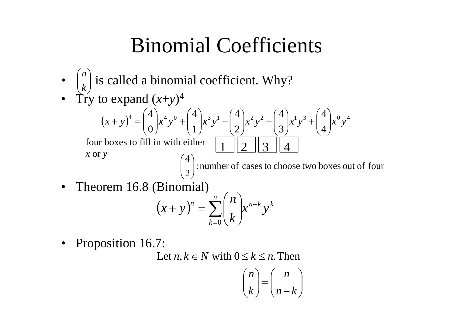### Binomial Coefficients

- $\binom{n}{k}$  is called a binomial coefficient. Why? ⎠ ⎞ ⎝  $\bigg($ *k n*
- Try to expand  $(x+y)^4$

$$
(x+y)^4 = {4 \choose 0} x^4 y^0 + {4 \choose 1} x^3 y^1 + {4 \choose 2} x^2 y^2 + {4 \choose 3} x^1 y^3 + {4 \choose 4} x^0 y^4
$$
  
four boxes to fill in with either  
x or y  

$$
{4 \choose 2} : \text{number of cases to choose two boxes out of four}
$$

 $\bullet$ Theorem 16.8 (Binomial)

$$
(x+y)^n = \sum_{k=0}^n {n \choose k} x^{n-k} y^k
$$

• Proposition 16.7:

Let  $n, k \in \mathbb{N}$  with  $0 \leq k \leq n$ . Then

$$
\binom{n}{k} = \binom{n}{n-k}
$$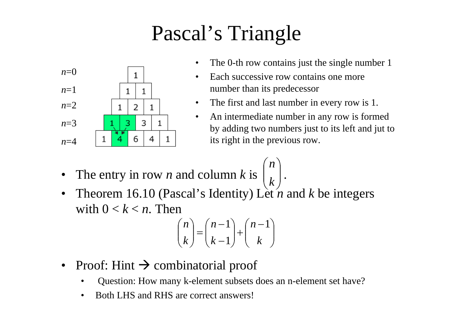# Pascal's Triangle



- •The 0-th row contains just the single number 1
- • Each successive row contains one more number than its predecessor

 $\overline{\phantom{a}}$ 

- $\bullet$ The first and last number in every row is 1.
- • An intermediate number in any row is formed by adding two numbers just to its left and jut to its right in the previous row.
- $(n)$ •The entry in row *n* and column *k* is  $\vert L \vert$ . *n*
- •Theorem 16.10 (Pascal's Identity) Lèt *n* and *k* be integers ⎠ ⎝ *k* with  $0 < k < n$ . Then

$$
\binom{n}{k} = \binom{n-1}{k-1} + \binom{n-1}{k}
$$

- Proof: Hint  $\rightarrow$  combinatorial proof
	- •Question: How many k-element subsets does an n-element set have?
	- $\bullet$ Both LHS and RHS are correct answers!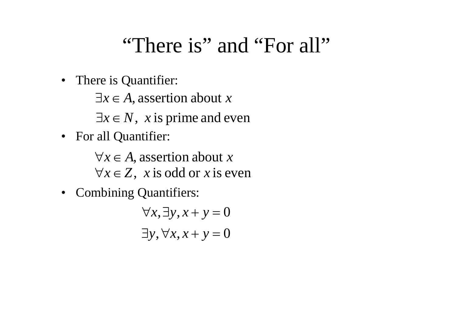#### "There is" and "For all"

• There is Quantifier:

∃*x*∈ *A*, assertion about *<sup>x</sup>*

 $\exists x \in N$ , *x* is prime and even

• For all Quantifier:

∀*x*∈ *A*, assertion about *<sup>x</sup>* ∀*x*∈ *Z*, *<sup>x</sup>* is odd or *<sup>x</sup>* is even

• Combining Quantifiers:

 $\exists y, \forall x, x + y = 0$  $\forall x, \exists y, x + y = 0$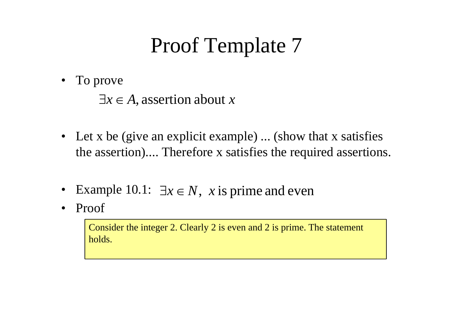# Proof Template 7

• To prove

∃ *x* ∈ *A*, assertion about *x*

- Let x be (give an explicit example) ... (show that x satisfies the assertion).... Therefore x satisfies the required assertions.
- •Example 10.1:  $\exists x \in N$ , *x* is prime and even
- •Proof

Consider the integer 2. Clearly 2 is even and 2 is prime. The statement holds.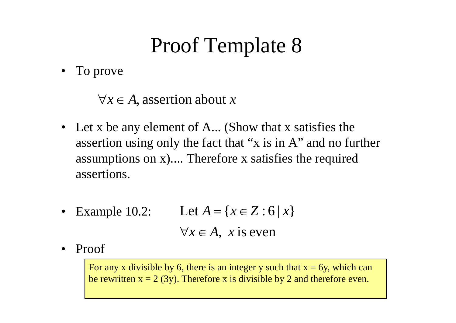# Proof Template 8

• To prove

 $\forall x \in A$ , assertion about x

- Let x be any element of A... (Show that x satisfies the assertion using only the fact that "x is in A" and no further assumptions on x).... Therefore x satisfies the required assertions.
- •Example 10.2: Let  $A = \{x \in Z : 6 | x\}$  $\forall x \in A$ , *x* is even
- $\bullet$ Proof

For any x divisible by 6, there is an integer y such that  $x = 6y$ , which can be rewritten  $x = 2$  (3y). Therefore x is divisible by 2 and therefore even.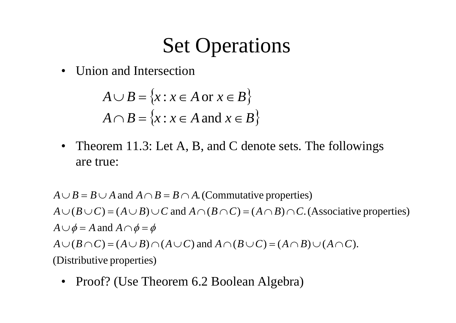### Set Operations

•Union and Intersection

$$
A \cup B = \{x : x \in A \text{ or } x \in B\}
$$
  

$$
A \cap B = \{x : x \in A \text{ and } x \in B\}
$$

 $\bullet$  Theorem 11.3: Let A, B, and C denote sets. The followings are true:neorem 11.3<br>e true:

 $A \cup B = B \cup A$  and  $A \cap B = B \cap A$ . (Commutative properties)  $A \cup \phi = A$  and  $A \cap \phi = \phi$  $A \cup (B \cup C) = (A \cup B) \cup C$  and  $A \cap (B \cap C) = (A \cap B) \cap C$ . (Associative properties) (Distributive properties) *A*∪( $B \cap C$ ) = ( $A \cup B$ )  $\cap$  ( $A \cup C$ ) and  $A \cap (B \cup C) = (A \cap B) \cup (A \cap C)$ .

• Proof? (Use Theorem 6.2 Boolean Algebra)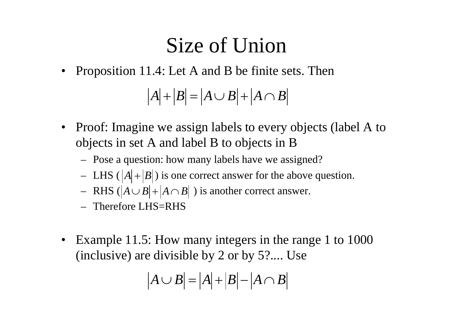# Size of Union

•Proposition 11.4: Let A and B be finite sets. Then

 $A$  +  $B$  =  $A \cup B$  +  $A \cap B$ 

- Proof: Imagine we assign labels to every objects (label A to  $\bullet$ objects in set A and label B to objects in B
	- Pose <sup>a</sup> question: how many labels have we assigned?
	- LHS  $(|A|+|B|)$  is one correct answer for the above question.
	- $-$  RHS ( $|A \cup B|$ + $|A \cap B|$ ) is another correct answer.
	- Therefore LHS=RHS
- $\bullet$  Example 11.5: How many integers in the range 1 to 1000 (inclusive) are divisible by 2 or by 5?.... Use

$$
|A \cup B| = |A| + |B| - |A \cap B|
$$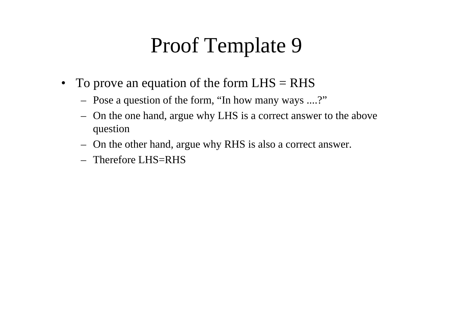## Proof Template 9 9

- To prove an equation of the form  $LHS = RHS$ 
	- Pose a question of the form, "In how many ways ....?"
	- On the one hand, argue why LHS is a correct answer to the above quest ion
	- On the other hand, argue why RHS is also a correct answer.
	- $-$  Therefore LHS–RHS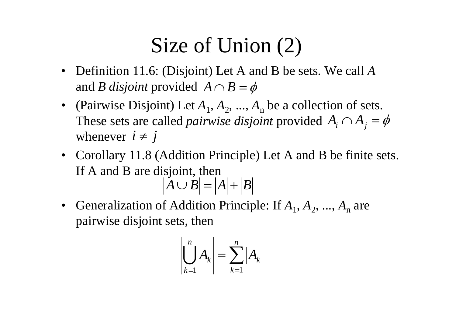# Size of Union  $(2)$

- Definition 11.6: (Disjoint) Let A and B be sets. We call *A* and *B disjoint* provided  $A \cap B = \phi$
- (Pairwise Disjoint) Let  $A_1, A_2, ..., A_n$  be a collection of sets. These sets are called *pairwise disjoint* provided  $A_i \cap A_j = \phi$ whenever  $i \neq j$  $i \neq j$
- Corollary 11.8 (Addition Principle) Let A and B be finite sets. If A and B are disjoint, then  $A \cup B = |A| + |B|$
- •Generalization of Addition Principle: If  $A_1, A_2, ..., A_n$  are pairwise disjoint sets, then

$$
\left|\bigcup_{k=1}^{n} A_k\right| = \sum_{k=1}^{n} |A_k|
$$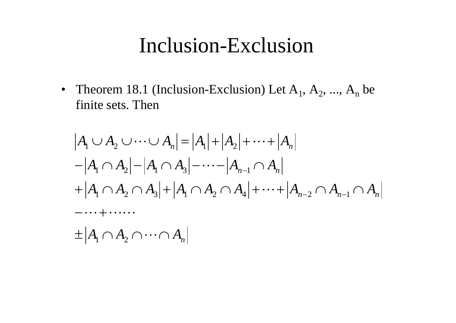#### Inclusion-Exclusion

• Theorem 18.1 (Inclusion-Exclusion) Let  $A_1, A_2, ..., A_n$  be finite sets. Then

$$
|A_1 \cup A_2 \cup \cdots \cup A_n| = |A_1| + |A_2| + \cdots + |A_n|
$$
  
\n
$$
-|A_1 \cap A_2| - |A_1 \cap A_3| - \cdots - |A_{n-1} \cap A_n|
$$
  
\n
$$
+ |A_1 \cap A_2 \cap A_3| + |A_1 \cap A_2 \cap A_4| + \cdots + |A_{n-2} \cap A_{n-1} \cap A_n|
$$
  
\n
$$
+ \cdots \cdots
$$
  
\n
$$
\pm |A_1 \cap A_2 \cap \cdots \cap A_n|
$$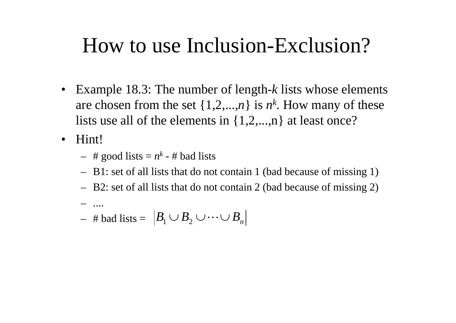#### How to use Inclusion-Exclusion?

- $\bullet$ • Example 18.3: The number of length - *k* lists whose elements are chosen from the set  $\{1,2,...,n\}$  is  $n^k$ . How many of these lists use all of the elements in  $\{1,2,...,n\}$  at least once?
- $\bullet$  Hint!
	- $-$  # good lists =  $n^k$  # bad lists
	- B1: set of all lists that do not contain 1 (bad because of missing 1)
	- B2: set of all lists that do not contain 2 (bad because of missing 2)
	- .... $-$  # bad lists =  $|B_1 \cup B_2 \cup \cdots \cup B_n|$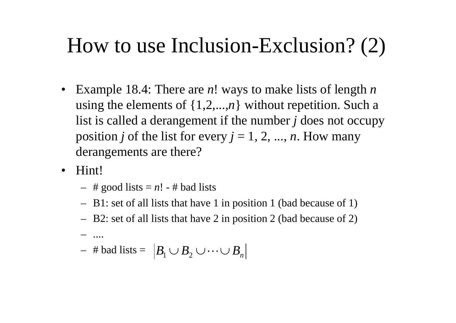# How to use Inclusion-Exclusion?  $(2)$

- $\bullet$ • Example 18.4: There are  $n!$  ways to make lists of length  $n$ using the elements of {1,2,..., *<sup>n</sup>*} without repetition. Such a list is called a derangement if the number *j* does not occupy position *j* of the list for every  $j = 1, 2, ..., n$ . How many derangements are there?
- Hint!
	- # good lists = *<sup>n</sup>*! # bad lists
	- B1: set of all lists that have 1 in position 1 (bad because of 1)
	- B2: set of all lists that have 2 in position 2 (bad because of 2)
	- ....
	- $−$  # bad lists =  $\, \left| B_{\text{1}} \cup B_{\text{2}} \cup \cdots \cup B_{\text{n}} \right|$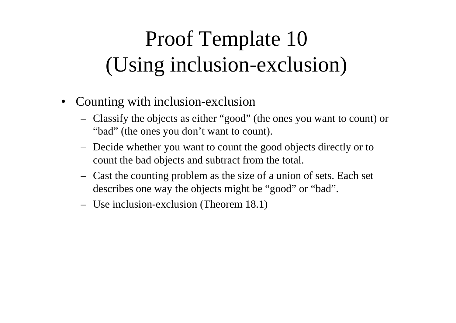# Proof Template 10 (Using inclusion-exclusion)

- • Counting with inclusion-exclusion
	- Classify the objects as either "good" (the ones you want to count) or "bad" (the ones you don't want to count).
	- Decide whether you want to count the good objects directly or to count the bad objects and subtract from the total.
	- Cast the counting problem as the size of a union of sets. Each set describes one way the objects might be "good" or "bad".
	- Use inclusion-exclusion (Theorem 18.1)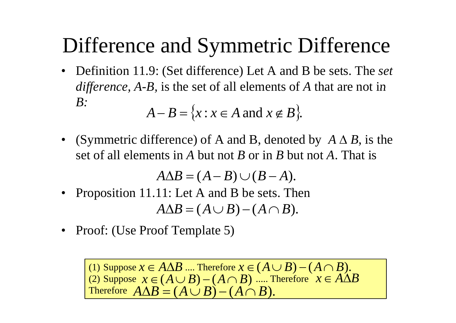### Difference and Symmetric Difference

- • Definition 11.9: (Set difference) Let A and B be sets. The *set difference, A-B,* is the set of all elements of A that are not in *B:* $A - B = \{x : x \in A \text{ and } x \notin B\}.$
- •(Symmetric difference) of A and B, denoted by  $A \Delta B$ , is the set of all elements in *A* but not *B* or in *B* but not *A*. That is

 $A \Delta B = (A - B) \cup (B - A).$ 

- $\bullet$ Proposition 11.11: Let A and B be sets. Then  $A \Delta B = (A \cup B)$ − ( *A* ∩ *B*).
- •Proof: (Use Proof Template 5)

(1) Suppose  $x \in A \Delta B$  .... Therefore  $x \in (A \cup B)$  $-(A \cap B).$ (2) Suppose  $x \in (A \cup B) - (A \cap B)$  ..... Therefore Therefore  $A \Delta B = (A \cup B)$  $-(A \cap B)$  *.....* Therefore  $x \in A \triangle B$ − ( *A* ∩ *B*).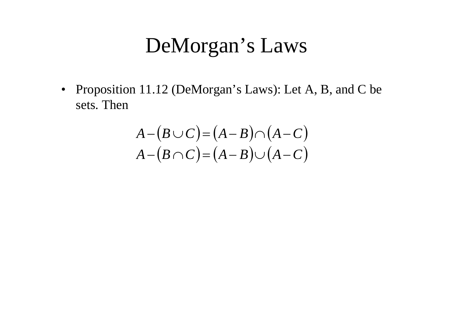#### DeMorgan's Laws

• Proposition 11.12 (DeMorgan's Laws): Let A, B, and C be sets. Then

$$
A-(B\cup C)=(A-B)\cap (A-C)
$$
  

$$
A-(B\cap C)=(A-B)\cup (A-C)
$$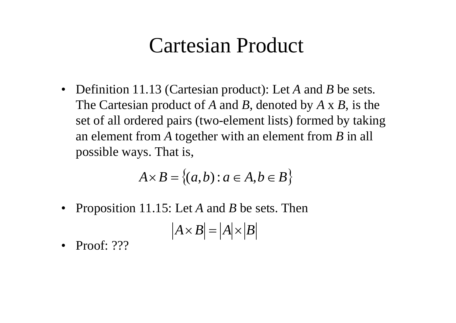#### Cartesian Product

• Definition 11.13 (Cartesian product): Let *A* and *B* be sets. The Cartesian product of A and B, denoted by A x B, is the set of all ordered pairs (two - element lists) formed by taking an element from *A* together with an element from *B* in all possible ways. That is,

$$
A \times B = \{(a, b) : a \in A, b \in B\}
$$

•Proposition 11.15: Let *A* and *B* be sets. Then

$$
|A \times B| = |A| \times |B|
$$

 $\bullet$ Proof: ???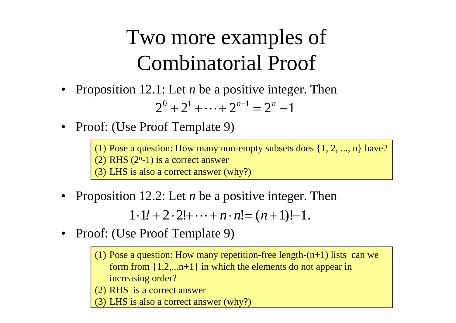# Two more examples of Combinatorial Proof

- Proposition 12.1: Let *n* be a positive integer. Then  $2^{0} + 2^{1} + \cdots + 2^{n-1} = 2^{n} - 1$
- Proof: (Use Proof Template 9)

(1) Pose a question: How many non-empty subsets does  $\{1, 2, ..., n\}$  have?  $(2)$  RHS  $(2n-1)$  is a correct answer (3) LHS is also a correct answer (why?)

•• Proposition 12.2: Let *n* be a positive integer. Then

> $1 \cdot 1! + 2 \cdot 2! + \cdots + n \cdot n! = (n+1)!$ − 1.

- •• Proof: (Use Proof Template 9)
	- (1) Pose a question: How many repetition-free length- $(n+1)$  lists can we form from  $\{1,2,...n+1\}$  in which the elements do not appear in increasing order?
	- (2) RHS is a correct answer

(3) LHS is also a correct answer (why?)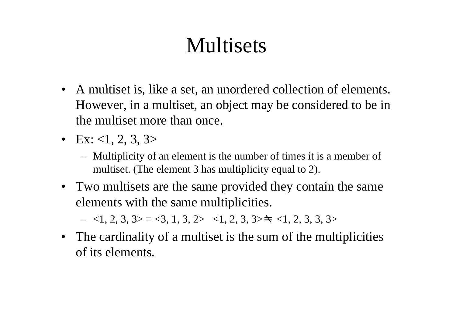# Multisets

- A multiset is, like a set, an unordered collection of elements. However, in a multiset, an object may be considered to be in the multiset more than once.
- Ex: <1, 2, 3, 3>
	- Multiplicity of an element is the number of times it is a member of multiset. (The element 3 has multiplicity equal to 2).
- Two multisets are the same provided they contain the same elements with the same multiplicities.

 $-$  <1, 2, 3, 3> = <3, 1, 3, 2> <1, 2, 3, 3> $\pm$  <1, 2, 3, 3, 3>

• The cardinality of a multiset is the sum of the multiplicities of its elements.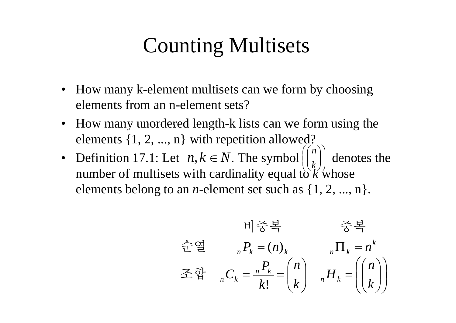### Counting Multisets

- How many k-element multisets can we form by choosing elements from an n-element sets?
- How many unordered length-k lists can we form using the elements {1, 2, ..., n} with repetition allowed?
- Definition 17.1: Let  $n, k \in \mathbb{N}$ . The symbol  $\left| \begin{array}{c} n \\ k \end{array} \right|$  denotes the  $\overline{\phantom{a}}$  $((n))$ ⎜ ⎜ ⎟ ⎟  $(n)$ ⎜ ⎜  $n\ 17.1$ : Let  $n,k \in N$ . The symbol  $||\cdot||$  denotes the number of multisets with cardinality equal to  $k$  whose elements belong to an *n*-element set such as  $\{1, 2, ..., n\}$ .  $\left(\binom{k}{k}\right)$

$$
\exists \xi \in \mathbb{R} \quad \text{and} \quad \xi \in \mathbb{R}.
$$
\n
$$
\exists \xi \in \mathbb{R} \quad \text{and} \quad n = n^k
$$
\n
$$
\exists \xi \in \mathbb{R} \quad n = \frac{P_k}{k!} = \binom{n}{k} \quad n = \binom{n}{k}
$$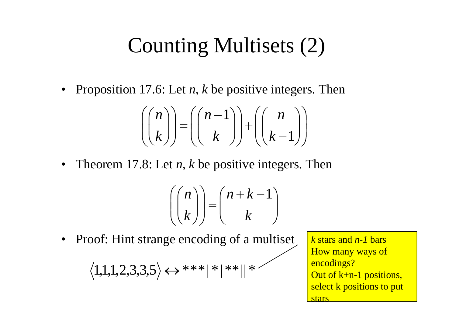## Counting Multisets (2)

• Proposition 17.6: Let *n*, *k* be positive integers. Then

$$
\left(\binom{n}{k}\right) = \left(\binom{n-1}{k}\right) + \left(\binom{n}{k-1}\right)
$$

• Theorem 17.8: Let  $n$ ,  $k$  be positive integers. Then

$$
\left(\binom{n}{k}\right) = \binom{n+k-1}{k}
$$

Proof: Hint strange encoding of a multiset  $\bullet$ 

$$
\langle 1{,}1{,}1{,}2{,}3{,}3{,}5\rangle \leftrightarrow {}^{***}{\parallel}^{\ast}{\parallel}^{\ast}{\parallel}^{\ast}\phantom{\parallel}^{\ast}\phantom{\parallel}^{\prime}
$$

*k* stars and *n-1*barsHow many ways of encodings? Out of  $k+n-1$  positions, select k positions to put stars